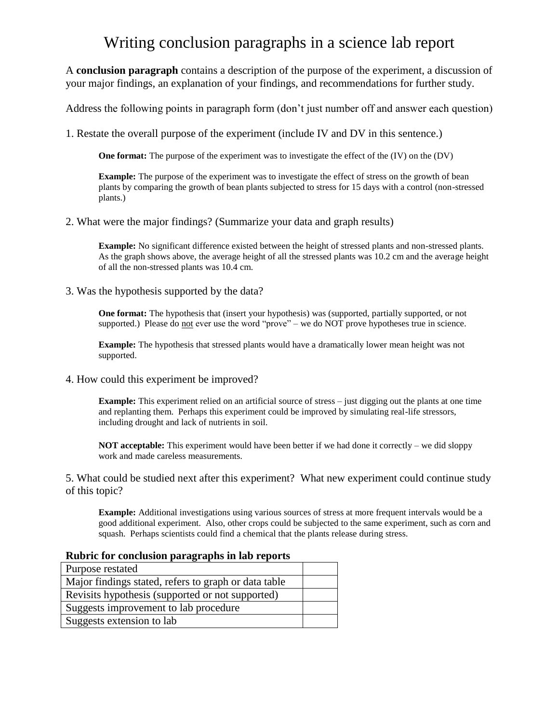## Writing conclusion paragraphs in a science lab report

A **conclusion paragraph** contains a description of the purpose of the experiment, a discussion of your major findings, an explanation of your findings, and recommendations for further study.

Address the following points in paragraph form (don't just number off and answer each question)

1. Restate the overall purpose of the experiment (include IV and DV in this sentence.)

**One format:** The purpose of the experiment was to investigate the effect of the (IV) on the (DV)

**Example:** The purpose of the experiment was to investigate the effect of stress on the growth of bean plants by comparing the growth of bean plants subjected to stress for 15 days with a control (non-stressed plants.)

### 2. What were the major findings? (Summarize your data and graph results)

**Example:** No significant difference existed between the height of stressed plants and non-stressed plants. As the graph shows above, the average height of all the stressed plants was 10.2 cm and the average height of all the non-stressed plants was 10.4 cm.

3. Was the hypothesis supported by the data?

**One format:** The hypothesis that (insert your hypothesis) was (supported, partially supported, or not supported.) Please do not ever use the word "prove" – we do NOT prove hypotheses true in science.

**Example:** The hypothesis that stressed plants would have a dramatically lower mean height was not supported.

4. How could this experiment be improved?

**Example:** This experiment relied on an artificial source of stress – just digging out the plants at one time and replanting them. Perhaps this experiment could be improved by simulating real-life stressors, including drought and lack of nutrients in soil.

**NOT acceptable:** This experiment would have been better if we had done it correctly – we did sloppy work and made careless measurements.

5. What could be studied next after this experiment? What new experiment could continue study of this topic?

**Example:** Additional investigations using various sources of stress at more frequent intervals would be a good additional experiment. Also, other crops could be subjected to the same experiment, such as corn and squash. Perhaps scientists could find a chemical that the plants release during stress.

| Rubric for conclusion paragraphs in lab reports      |  |  |  |  |
|------------------------------------------------------|--|--|--|--|
| Purpose restated                                     |  |  |  |  |
| Major findings stated, refers to graph or data table |  |  |  |  |
| Revisits hypothesis (supported or not supported)     |  |  |  |  |
| Suggests improvement to lab procedure                |  |  |  |  |
| Suggests extension to lab                            |  |  |  |  |

#### **Rubric for conclusion paragraphs in lab reports**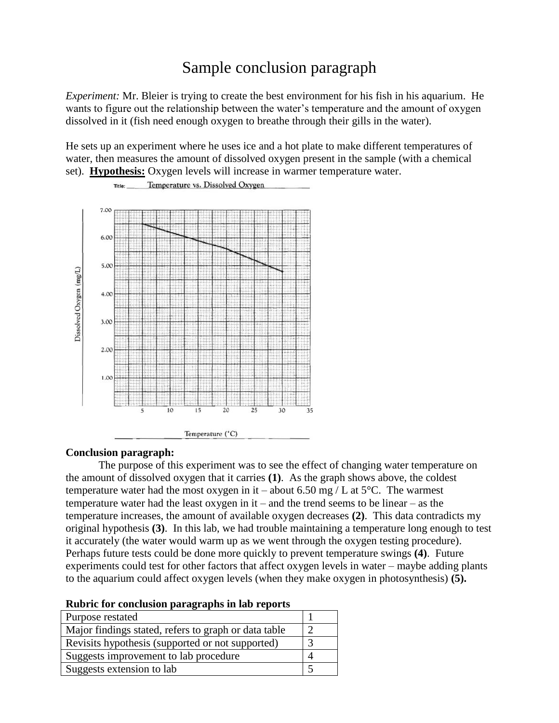# Sample conclusion paragraph

*Experiment:* Mr. Bleier is trying to create the best environment for his fish in his aquarium. He wants to figure out the relationship between the water's temperature and the amount of oxygen dissolved in it (fish need enough oxygen to breathe through their gills in the water).

He sets up an experiment where he uses ice and a hot plate to make different temperatures of water, then measures the amount of dissolved oxygen present in the sample (with a chemical set). **Hypothesis:** Oxygen levels will increase in warmer temperature water.



## Temperature vs. Dissolved Oxygen

#### **Conclusion paragraph:**

Title:

The purpose of this experiment was to see the effect of changing water temperature on the amount of dissolved oxygen that it carries **(1)**. As the graph shows above, the coldest temperature water had the most oxygen in it – about 6.50 mg / L at  $5^{\circ}$ C. The warmest temperature water had the least oxygen in it – and the trend seems to be linear – as the temperature increases, the amount of available oxygen decreases **(2)**. This data contradicts my original hypothesis **(3)**. In this lab, we had trouble maintaining a temperature long enough to test it accurately (the water would warm up as we went through the oxygen testing procedure). Perhaps future tests could be done more quickly to prevent temperature swings **(4)**. Future experiments could test for other factors that affect oxygen levels in water – maybe adding plants to the aquarium could affect oxygen levels (when they make oxygen in photosynthesis) **(5).**

| $\frac{1}{2}$ = $\frac{1}{2}$ = $\frac{1}{2}$ = $\frac{1}{2}$ = $\frac{1}{2}$ = $\frac{1}{2}$ = $\frac{1}{2}$ |  |
|---------------------------------------------------------------------------------------------------------------|--|
| Purpose restated                                                                                              |  |
| Major findings stated, refers to graph or data table                                                          |  |
| Revisits hypothesis (supported or not supported)                                                              |  |
| Suggests improvement to lab procedure                                                                         |  |
| Suggests extension to lab                                                                                     |  |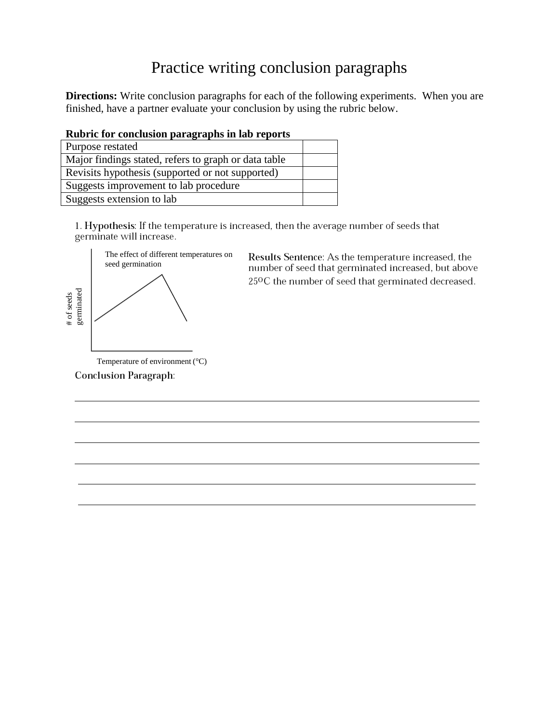# Practice writing conclusion paragraphs

**Directions:** Write conclusion paragraphs for each of the following experiments. When you are finished, have a partner evaluate your conclusion by using the rubric below.

|  | Rubric for conclusion paragraphs in lab reports |  |  |
|--|-------------------------------------------------|--|--|
|  |                                                 |  |  |

| Purpose restated                                     |  |
|------------------------------------------------------|--|
| Major findings stated, refers to graph or data table |  |
| Revisits hypothesis (supported or not supported)     |  |
| Suggests improvement to lab procedure                |  |
| Suggests extension to lab                            |  |

1. Hypothesis: If the temperature is increased, then the average number of seeds that germinate will increase.



Conclusion Paragraph:

Results Sentence: As the temperature increased, the number of seed that germinated increased, but above 25°C the number of seed that germinated decreased.